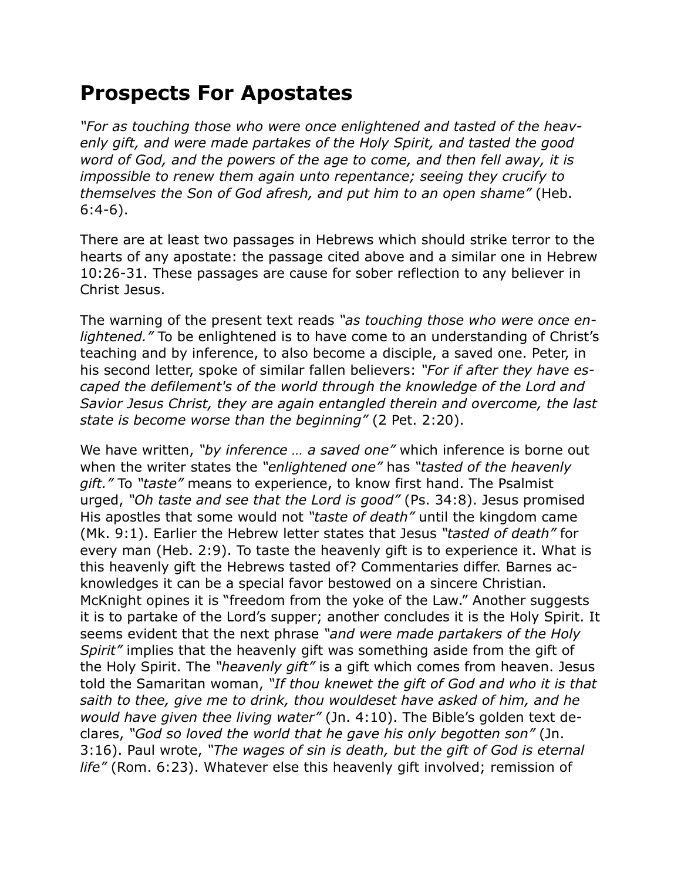## **Prospects For Apostates**

*"For as touching those who were once enlightened and tasted of the heavenly gift, and were made partakes of the Holy Spirit, and tasted the good word of God, and the powers of the age to come, and then fell away, it is impossible to renew them again unto repentance; seeing they crucify to themselves the Son of God afresh, and put him to an open shame"* (Heb. 6:4-6).

There are at least two passages in Hebrews which should strike terror to the hearts of any apostate: the passage cited above and a similar one in Hebrew 10:26-31. These passages are cause for sober reflection to any believer in Christ Jesus.

The warning of the present text reads *"as touching those who were once enlightened."* To be enlightened is to have come to an understanding of Christ's teaching and by inference, to also become a disciple, a saved one. Peter, in his second letter, spoke of similar fallen believers: *"For if after they have escaped the defilement's of the world through the knowledge of the Lord and Savior Jesus Christ, they are again entangled therein and overcome, the last state is become worse than the beginning"* (2 Pet. 2:20).

We have written, *"by inference … a saved one"* which inference is borne out when the writer states the *"enlightened one"* has *"tasted of the heavenly gift."* To *"taste"* means to experience, to know first hand. The Psalmist urged, *"Oh taste and see that the Lord is good"* (Ps. 34:8). Jesus promised His apostles that some would not *"taste of death"* until the kingdom came (Mk. 9:1). Earlier the Hebrew letter states that Jesus *"tasted of death"* for every man (Heb. 2:9). To taste the heavenly gift is to experience it. What is this heavenly gift the Hebrews tasted of? Commentaries differ. Barnes acknowledges it can be a special favor bestowed on a sincere Christian. McKnight opines it is "freedom from the yoke of the Law." Another suggests it is to partake of the Lord's supper; another concludes it is the Holy Spirit. It seems evident that the next phrase *"and were made partakers of the Holy Spirit"* implies that the heavenly gift was something aside from the gift of the Holy Spirit. The *"heavenly gift"* is a gift which comes from heaven. Jesus told the Samaritan woman, *"If thou knewet the gift of God and who it is that saith to thee, give me to drink, thou wouldeset have asked of him, and he would have given thee living water"* (Jn. 4:10). The Bible's golden text declares, *"God so loved the world that he gave his only begotten son"* (Jn. 3:16). Paul wrote, *"The wages of sin is death, but the gift of God is eternal life"* (Rom. 6:23). Whatever else this heavenly gift involved; remission of